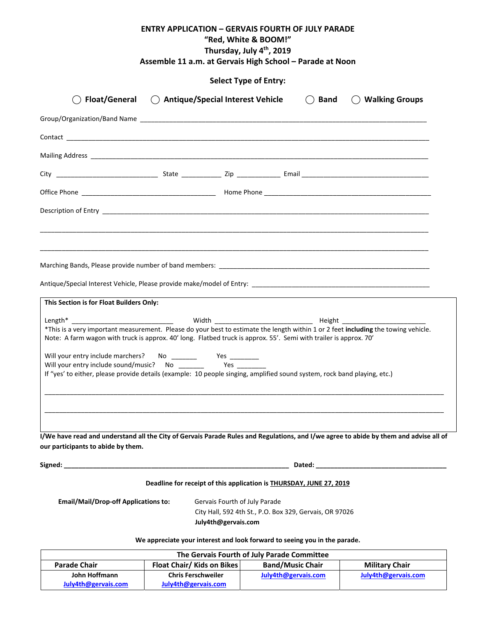| <b>ENTRY APPLICATION – GERVAIS FOURTH OF JULY PARADE</b><br>"Red, White & BOOM!"<br>Thursday, July 4th, 2019<br>Assemble 11 a.m. at Gervais High School - Parade at Noon    |                                                                                |          |                  |  |  |
|-----------------------------------------------------------------------------------------------------------------------------------------------------------------------------|--------------------------------------------------------------------------------|----------|------------------|--|--|
|                                                                                                                                                                             | <b>Select Type of Entry:</b>                                                   |          |                  |  |  |
| <b>Float/General</b>                                                                                                                                                        | ◯ Antique/Special Interest Vehicle                                             | ( ) Band | ◯ Walking Groups |  |  |
|                                                                                                                                                                             |                                                                                |          |                  |  |  |
|                                                                                                                                                                             |                                                                                |          |                  |  |  |
|                                                                                                                                                                             |                                                                                |          |                  |  |  |
|                                                                                                                                                                             |                                                                                |          |                  |  |  |
|                                                                                                                                                                             |                                                                                |          |                  |  |  |
|                                                                                                                                                                             |                                                                                |          |                  |  |  |
|                                                                                                                                                                             |                                                                                |          |                  |  |  |
|                                                                                                                                                                             |                                                                                |          |                  |  |  |
| This Section is for Float Builders Only:                                                                                                                                    |                                                                                |          |                  |  |  |
| *This is a very important measurement. Please do your best to estimate the length within 1 or 2 feet including the towing vehicle.                                          |                                                                                |          |                  |  |  |
| Note: A farm wagon with truck is approx. 40' long. Flatbed truck is approx. 55'. Semi with trailer is approx. 70'                                                           |                                                                                |          |                  |  |  |
| Will your entry include marchers?                                                                                                                                           |                                                                                |          |                  |  |  |
| If "yes' to either, please provide details (example: 10 people singing, amplified sound system, rock band playing, etc.)                                                    |                                                                                |          |                  |  |  |
|                                                                                                                                                                             |                                                                                |          |                  |  |  |
| I/We have read and understand all the City of Gervais Parade Rules and Regulations, and I/we agree to abide by them and advise all of<br>our participants to abide by them. |                                                                                |          |                  |  |  |
|                                                                                                                                                                             |                                                                                |          |                  |  |  |
|                                                                                                                                                                             | Deadline for receipt of this application is THURSDAY, JUNE 27, 2019            |          |                  |  |  |
| <b>Email/Mail/Drop-off Applications to:</b>                                                                                                                                 | Gervais Fourth of July Parade                                                  |          |                  |  |  |
|                                                                                                                                                                             | City Hall, 592 4th St., P.O. Box 329, Gervais, OR 97026<br>July4th@gervais.com |          |                  |  |  |

#### **We appreciate your interest and look forward to seeing you in the parade.**

| The Gervais Fourth of July Parade Committee |                                   |                         |                       |  |  |
|---------------------------------------------|-----------------------------------|-------------------------|-----------------------|--|--|
| <b>Parade Chair</b>                         | <b>Float Chair/ Kids on Bikes</b> | <b>Band/Music Chair</b> | <b>Military Chair</b> |  |  |
| John Hoffmann                               | <b>Chris Ferschweiler</b>         | July4th@gervais.com     | July4th@gervais.com   |  |  |
| July4th@gervais.com                         | July4th@gervais.com               |                         |                       |  |  |